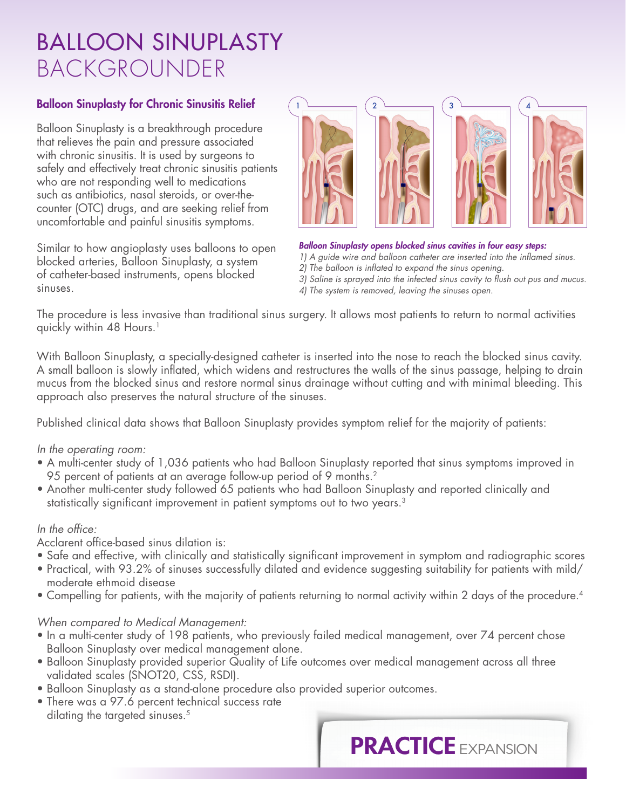## BALLOON SINUPLASTY BACKGROUNDER

#### Balloon Sinuplasty for Chronic Sinusitis Relief

Balloon Sinuplasty is a breakthrough procedure that relieves the pain and pressure associated with chronic sinusitis. It is used by surgeons to safely and effectively treat chronic sinusitis patients who are not responding well to medications such as antibiotics, nasal steroids, or over-thecounter (OTC) drugs, and are seeking relief from uncomfortable and painful sinusitis symptoms.

Similar to how angioplasty uses balloons to open blocked arteries, Balloon Sinuplasty, a system of catheter-based instruments, opens blocked sinuses.



### *Balloon Sinuplasty opens blocked sinus cavities in four easy steps: 1) A guide wire and balloon catheter are inserted into the inflamed sinus.*

*2) The balloon is inflated to expand the sinus opening.* 

*3) Saline is sprayed into the infected sinus cavity to flush out pus and mucus. 4) The system is removed, leaving the sinuses open.*

The procedure is less invasive than traditional sinus surgery. It allows most patients to return to normal activities quickly within 48 Hours.<sup>1</sup>

With Balloon Sinuplasty, a specially-designed catheter is inserted into the nose to reach the blocked sinus cavity. A small balloon is slowly inflated, which widens and restructures the walls of the sinus passage, helping to drain mucus from the blocked sinus and restore normal sinus drainage without cutting and with minimal bleeding. This approach also preserves the natural structure of the sinuses.

Published clinical data shows that Balloon Sinuplasty provides symptom relief for the majority of patients:

#### *In the operating room:*

- A multi-center study of 1,036 patients who had Balloon Sinuplasty reported that sinus symptoms improved in 95 percent of patients at an average follow-up period of 9 months.2
- Another multi-center study followed 65 patients who had Balloon Sinuplasty and reported clinically and statistically significant improvement in patient symptoms out to two years.<sup>3</sup>

### *In the office:*

Acclarent office-based sinus dilation is:

- Safe and effective, with clinically and statistically significant improvement in symptom and radiographic scores
- Practical, with 93.2% of sinuses successfully dilated and evidence suggesting suitability for patients with mild/ moderate ethmoid disease
- Compelling for patients, with the majority of patients returning to normal activity within 2 days of the procedure.4

### *When compared to Medical Management:*

- In a multi-center study of 198 patients, who previously failed medical management, over 74 percent chose Balloon Sinuplasty over medical management alone.
- Balloon Sinuplasty provided superior Quality of Life outcomes over medical management across all three validated scales (SNOT20, CSS, RSDI).
- Balloon Sinuplasty as a stand-alone procedure also provided superior outcomes.
- There was a 97.6 percent technical success rate dilating the targeted sinuses.<sup>5</sup>